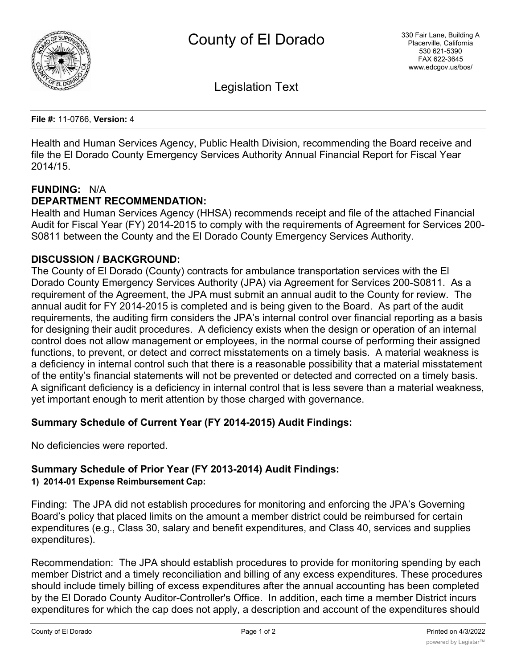

Legislation Text

**File #:** 11-0766, **Version:** 4

Health and Human Services Agency, Public Health Division, recommending the Board receive and file the El Dorado County Emergency Services Authority Annual Financial Report for Fiscal Year 2014/15.

## **FUNDING:** N/A

## **DEPARTMENT RECOMMENDATION:**

Health and Human Services Agency (HHSA) recommends receipt and file of the attached Financial Audit for Fiscal Year (FY) 2014-2015 to comply with the requirements of Agreement for Services 200- S0811 between the County and the El Dorado County Emergency Services Authority.

## **DISCUSSION / BACKGROUND:**

The County of El Dorado (County) contracts for ambulance transportation services with the El Dorado County Emergency Services Authority (JPA) via Agreement for Services 200-S0811. As a requirement of the Agreement, the JPA must submit an annual audit to the County for review. The annual audit for FY 2014-2015 is completed and is being given to the Board. As part of the audit requirements, the auditing firm considers the JPA's internal control over financial reporting as a basis for designing their audit procedures. A deficiency exists when the design or operation of an internal control does not allow management or employees, in the normal course of performing their assigned functions, to prevent, or detect and correct misstatements on a timely basis. A material weakness is a deficiency in internal control such that there is a reasonable possibility that a material misstatement of the entity's financial statements will not be prevented or detected and corrected on a timely basis. A significant deficiency is a deficiency in internal control that is less severe than a material weakness, yet important enough to merit attention by those charged with governance.

## **Summary Schedule of Current Year (FY 2014-2015) Audit Findings:**

No deficiencies were reported.

# **Summary Schedule of Prior Year (FY 2013-2014) Audit Findings:**

#### **1) 2014-01 Expense Reimbursement Cap:**

Finding: The JPA did not establish procedures for monitoring and enforcing the JPA's Governing Board's policy that placed limits on the amount a member district could be reimbursed for certain expenditures (e.g., Class 30, salary and benefit expenditures, and Class 40, services and supplies expenditures).

Recommendation: The JPA should establish procedures to provide for monitoring spending by each member District and a timely reconciliation and billing of any excess expenditures. These procedures should include timely billing of excess expenditures after the annual accounting has been completed by the El Dorado County Auditor-Controller's Office. In addition, each time a member District incurs expenditures for which the cap does not apply, a description and account of the expenditures should